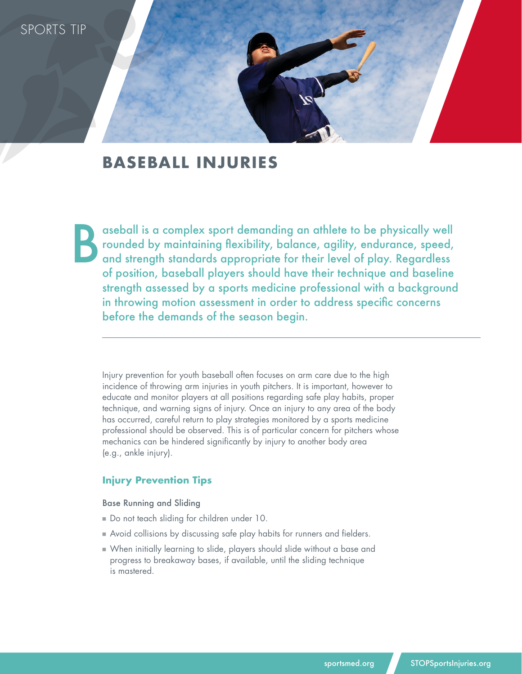

# **BASEBALL INJURIES**

aseball is a complex sport demanding an athlete to be physically well rounded by maintaining flexibility, balance, agility, endurance, speed, and strength standards appropriate for their level of play. Regardless of position, baseball players should have their technique and baseline strength assessed by a sports medicine professional with a background in throwing motion assessment in order to address specific concerns before the demands of the season begin. B

Injury prevention for youth baseball often focuses on arm care due to the high incidence of throwing arm injuries in youth pitchers. It is important, however to educate and monitor players at all positions regarding safe play habits, proper technique, and warning signs of injury. Once an injury to any area of the body has occurred, careful return to play strategies monitored by a sports medicine professional should be observed. This is of particular concern for pitchers whose mechanics can be hindered significantly by injury to another body area (e.g., ankle injury).

### **Injury Prevention Tips**

Base Running and Sliding

- Do not teach sliding for children under 10.
- **Avoid collisions by discussing safe play habits for runners and fielders.**
- n When initially learning to slide, players should slide without a base and progress to breakaway bases, if available, until the sliding technique is mastered.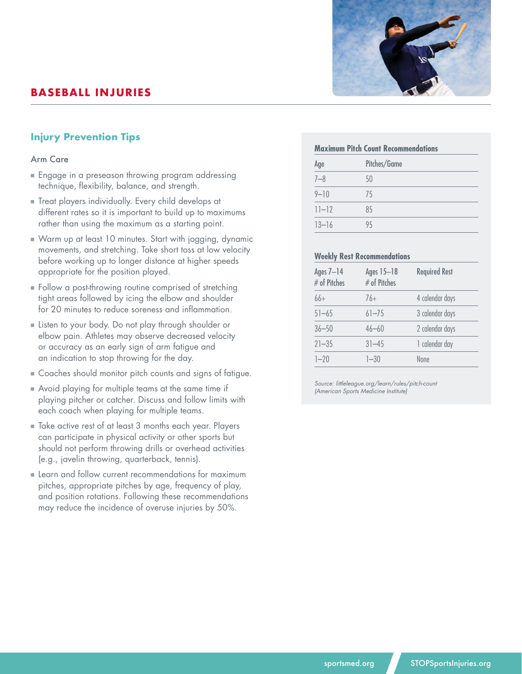# **BASEBALL INJURIES**



#### Arm Care

- n Engage in a preseason throwing program addressing technique, flexibility, balance, and strength.
- n Treat players individually. Every child develops at different rates so it is important to build up to maximums rather than using the maximum as a starting point.
- n Warm up at least 10 minutes. Start with jogging, dynamic movements, and stretching. Take short toss at low velocity before working up to longer distance at higher speeds appropriate for the position played.
- Follow a post-throwing routine comprised of stretching tight areas followed by icing the elbow and shoulder for 20 minutes to reduce soreness and inflammation.
- Listen to your body. Do not play through shoulder or elbow pain. Athletes may observe decreased velocity or accuracy as an early sign of arm fatigue and an indication to stop throwing for the day.
- n Coaches should monitor pitch counts and signs of fatigue.
- n Avoid playing for multiple teams at the same time if playing pitcher or catcher. Discuss and follow limits with each coach when playing for multiple teams.
- n Take active rest of at least 3 months each year. Players can participate in physical activity or other sports but should not perform throwing drills or overhead activities (e.g., javelin throwing, quarterback, tennis).
- **Example 1** Learn and follow current recommendations for maximum pitches, appropriate pitches by age, frequency of play, and position rotations. Following these recommendations may reduce the incidence of overuse injuries by 50%.

| ≏ |
|---|

# **Maximum Pitch Count Recommendations** Age Pitches/Game 7–8 50

| ____      | __  |  |
|-----------|-----|--|
| $9 - 10$  | 75. |  |
| $11 - 12$ | 85  |  |
| $13 - 16$ | 95  |  |

#### **Weekly Rest Recommendations**

| Ages 7-14<br># of Pitches | Ages 15-18<br># of Pitches | <b>Required Rest</b> |
|---------------------------|----------------------------|----------------------|
| $66+$                     | $76+$                      | 4 calendar days      |
| $51 - 65$                 | $61 - 75$                  | 3 calendar days      |
| $36 - 50$                 | $46 - 60$                  | 2 calendar days      |
| $21 - 35$                 | $31 - 45$                  | 1 calendar day       |
| $1 - 20$                  | $1 - 30$                   | <b>None</b>          |

*Source: littleleague.org/learn/rules/pitch-count (American Sports Medicine Institute)*